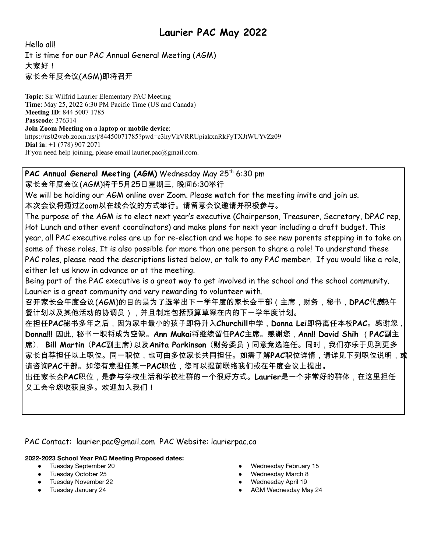# **Laurier PAC May 2022**

Hello all! It is time for our PAC Annual General Meeting (AGM) 大家好! 家长会年度会议(AGM)即将召开

**Topic**: Sir Wilfrid Laurier Elementary PAC Meeting **Time**: May 25, 2022 6:30 PM Pacific Time (US and Canada) **Meeting ID**: 844 5007 1785 **Passcode**: 376314 **Join Zoom Meeting on a laptop or mobile device**: https://us02web.zoom.us/j/84450071785?pwd=c3hyVkVRRUpiakxnRkFyTXJtWUYvZz09 **Dial in**: +1 (778) 907 2071 If you need help joining, please email [laurier.pac@gmail.com.](mailto:laurier.pac@gmail.com)

# **PAC Annual General Meeting (AGM)** Wednesday May 25 th 6:30 pm

家长会年度会议(AGM)将于5月25日星期三,晚间6:30举行

We will be holding our AGM online over Zoom. Please watch for the meeting invite and join us. 本次会议将通过Zoom以在线会议的方式举行。请留意会议邀请并积极参与。

The purpose of the AGM is to elect next year's executive (Chairperson, Treasurer, Secretary, DPAC rep, Hot Lunch and other event coordinators) and make plans for next year including a draft budget. This year, all PAC executive roles are up for re-election and we hope to see new parents stepping in to take on some of these roles. It is also possible for more than one person to share a role! To understand these PAC roles, please read the descriptions listed below, or talk to any PAC member. If you would like a role, either let us know in advance or at the meeting.

Being part of the PAC executive is a great way to get involved in the school and the school community. Laurier is a great community and very rewarding to volunteer with.

召开家长会年度会议(*AGN*)的目的是为了选举出下一学年度的家长会干部(主席,财务,秘书,**DP***AC***代***表***热午** 餐计划以及其他活动的协调员),并且制定包括预算草案在内的下一学年度计划。

在担任**PAC**秘书多年之后,因为家中最小的孩子即将升入**Churchill**中学,**Donna Lei**即将离任本校**PAC**。感谢您, **Donna!!!** 因此,秘书一职将成为空缺。**Ann Mukai**将继续留任**PAC**主席。感谢您,**Ann!! David Shih** (**PAC**副主 席), **Bill Martin** (**PAC**副主席)以及**Anita Parkinson** (财务委员)同意竞选连任。同时,我们亦乐于见到更多 家长自荐担任以上职位。同一职位,也可由多位家长共同担任。如需了解**P***AC***职位详情,请详见下列职位说明,或** 请咨询**PAC**干部。如您有意担任某一**PAC**职位,您可以提前联络我们或在年度会议上提出。

出任家长会**PAC**职位,是参与学校生活和学校社群的一个很好方式。**Laurier**是一个非常好的群体,在这里担任 义工会令您收获良多。欢迎加入我们!

PAC Contact: [laurier.pac@gmail.com](mailto:laurier.pac@gmail.com) PAC Website: laurierpac.ca

#### **2022-2023 School Year PAC Meeting Proposed dates:**

- Tuesday September 20
- Tuesday October 25
- Tuesday November 22
- Tuesday January 24
- Wednesday February 15
- Wednesday March 8
- Wednesday April 19
- AGM Wednesday May 24